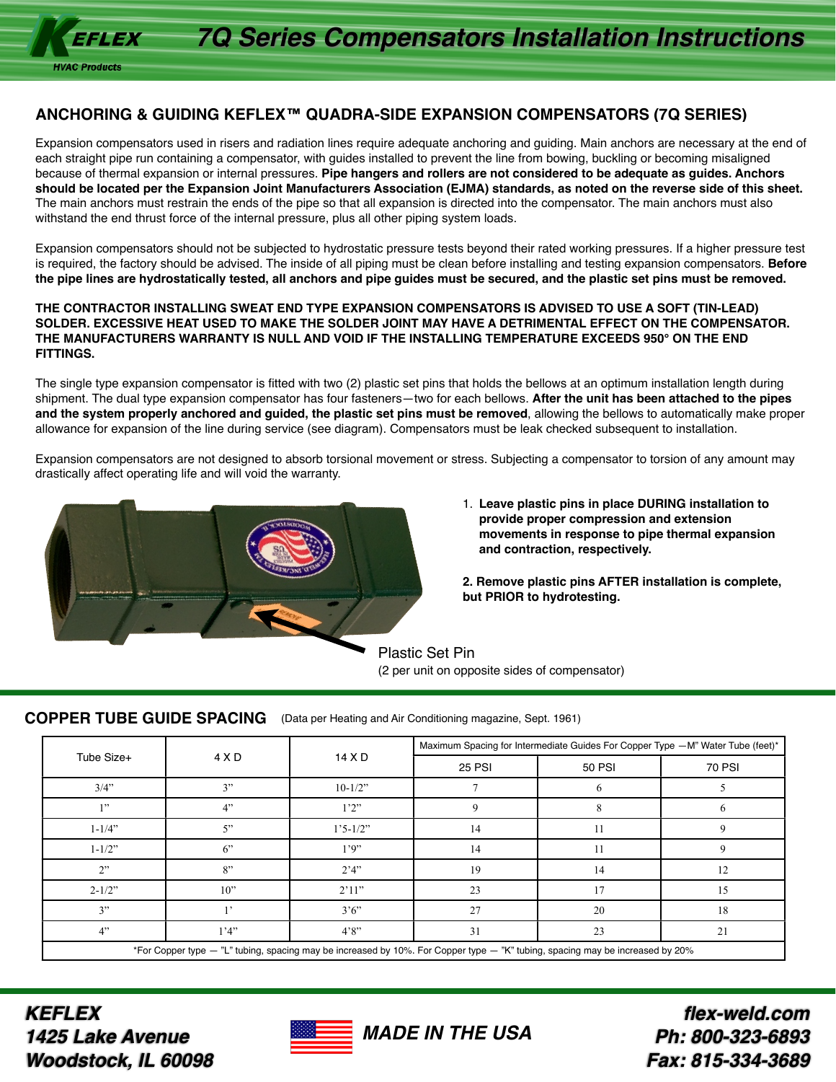### **ANCHORING & GUIDING KEFLEX™ QUADRA-SIDE EXPANSION COMPENSATORS (7Q SERIES)**

Expansion compensators used in risers and radiation lines require adequate anchoring and guiding. Main anchors are necessary at the end of each straight pipe run containing a compensator, with guides installed to prevent the line from bowing, buckling or becoming misaligned because of thermal expansion or internal pressures. **Pipe hangers and rollers are not considered to be adequate as guides. Anchors should be located per the Expansion Joint Manufacturers Association (EJMA) standards, as noted on the reverse side of this sheet.**  The main anchors must restrain the ends of the pipe so that all expansion is directed into the compensator. The main anchors must also withstand the end thrust force of the internal pressure, plus all other piping system loads.

Expansion compensators should not be subjected to hydrostatic pressure tests beyond their rated working pressures. If a higher pressure test is required, the factory should be advised. The inside of all piping must be clean before installing and testing expansion compensators. **Before the pipe lines are hydrostatically tested, all anchors and pipe guides must be secured, and the plastic set pins must be removed.** 

#### **THE CONTRACTOR INSTALLING SWEAT END TYPE EXPANSION COMPENSATORS IS ADVISED TO USE A SOFT (TIN-LEAD) SOLDER. EXCESSIVE HEAT USED TO MAKE THE SOLDER JOINT MAY HAVE A DETRIMENTAL EFFECT ON THE COMPENSATOR. THE MANUFACTURERS WARRANTY IS NULL AND VOID IF THE INSTALLING TEMPERATURE EXCEEDS 950° ON THE END FITTINGS.**

The single type expansion compensator is fitted with two (2) plastic set pins that holds the bellows at an optimum installation length during shipment. The dual type expansion compensator has four fasteners—two for each bellows. **After the unit has been attached to the pipes and the system properly anchored and guided, the plastic set pins must be removed**, allowing the bellows to automatically make proper allowance for expansion of the line during service (see diagram). Compensators must be leak checked subsequent to installation.

Expansion compensators are not designed to absorb torsional movement or stress. Subjecting a compensator to torsion of any amount may drastically affect operating life and will void the warranty.



- 1. **Leave plastic pins in place DURING installation to provide proper compression and extension movements in response to pipe thermal expansion and contraction, respectively.**
- **2. Remove plastic pins AFTER installation is complete, but PRIOR to hydrotesting.**

Plastic Set Pin (2 per unit on opposite sides of compensator)

### **COPPER TUBE GUIDE SPACING** (Data per Heating and Air Conditioning magazine, Sept. 1961)

| Tube Size+                                                                                                                    | 4 X D | 14 X D               | Maximum Spacing for Intermediate Guides For Copper Type - M" Water Tube (feet)* |               |               |
|-------------------------------------------------------------------------------------------------------------------------------|-------|----------------------|---------------------------------------------------------------------------------|---------------|---------------|
|                                                                                                                               |       |                      | <b>25 PSI</b>                                                                   | <b>50 PSI</b> | <b>70 PSI</b> |
| $3/4$ "                                                                                                                       | 3"    | $10-1/2"$            |                                                                                 |               |               |
| 1"                                                                                                                            | 4"    | 1'2''                |                                                                                 |               |               |
| $1 - 1/4$ "                                                                                                                   | 5"    | $1'5 - 1/2"$         | 14                                                                              | 11            | Q             |
| $1 - 1/2$ "                                                                                                                   | $6$ " | 1.9"                 | 14                                                                              | 11            |               |
| 2"                                                                                                                            | 8"    | 2'4'                 | 19                                                                              | 14            | 12            |
| $2 - 1/2$ "                                                                                                                   | 10"   | 2'11"                | 23                                                                              | 17            | 15            |
| 3"                                                                                                                            |       | $3^{\circ}6^{\circ}$ | 27                                                                              | 20            | 18            |
| 4"                                                                                                                            | 1'4'  | 4'8''                | 31                                                                              | 23            | 21            |
| *For Copper type — "L" tubing, spacing may be increased by 10%. For Copper type — "K" tubing, spacing may be increased by 20% |       |                      |                                                                                 |               |               |

*MADE IN THE USA*

*KEFLEX 1425 Lake Avenue Woodstock, IL 60098*



*flex-weld.com Ph: 800-323-6893 Fax: 815-334-3689*